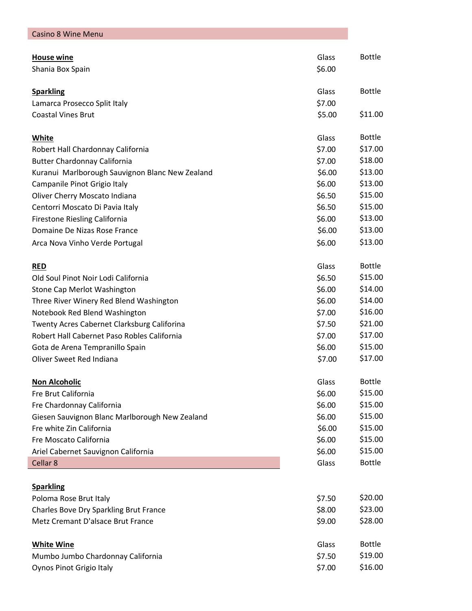| <b>Casino 8 Wine Menu</b>                                                |                 |                          |
|--------------------------------------------------------------------------|-----------------|--------------------------|
| <b>House wine</b>                                                        | Glass           | <b>Bottle</b>            |
| Shania Box Spain                                                         | \$6.00          |                          |
|                                                                          |                 |                          |
| <b>Sparkling</b>                                                         | Glass           | <b>Bottle</b>            |
| Lamarca Prosecco Split Italy                                             | \$7.00          |                          |
| <b>Coastal Vines Brut</b>                                                | \$5.00          | \$11.00                  |
|                                                                          |                 |                          |
| White                                                                    | Glass<br>\$7.00 | <b>Bottle</b><br>\$17.00 |
| Robert Hall Chardonnay California<br><b>Butter Chardonnay California</b> | \$7.00          | \$18.00                  |
| Kuranui Marlborough Sauvignon Blanc New Zealand                          | \$6.00          | \$13.00                  |
| Campanile Pinot Grigio Italy                                             | \$6.00          | \$13.00                  |
| Oliver Cherry Moscato Indiana                                            | \$6.50          | \$15.00                  |
| Centorri Moscato Di Pavia Italy                                          | \$6.50          | \$15.00                  |
| Firestone Riesling California                                            | \$6.00          | \$13.00                  |
| Domaine De Nizas Rose France                                             | \$6.00          | \$13.00                  |
| Arca Nova Vinho Verde Portugal                                           | \$6.00          | \$13.00                  |
|                                                                          |                 |                          |
| <b>RED</b>                                                               | Glass           | <b>Bottle</b>            |
| Old Soul Pinot Noir Lodi California                                      | \$6.50          | \$15.00                  |
| Stone Cap Merlot Washington                                              | \$6.00          | \$14.00                  |
| Three River Winery Red Blend Washington                                  | \$6.00          | \$14.00                  |
| Notebook Red Blend Washington                                            | \$7.00          | \$16.00                  |
| Twenty Acres Cabernet Clarksburg Califorina                              | \$7.50          | \$21.00                  |
| Robert Hall Cabernet Paso Robles California                              | \$7.00          | \$17.00                  |
| Gota de Arena Tempranillo Spain                                          | \$6.00          | \$15.00                  |
| Oliver Sweet Red Indiana                                                 | \$7.00          | \$17.00                  |
| <b>Non Alcoholic</b>                                                     | Glass           | <b>Bottle</b>            |
| Fre Brut California                                                      | \$6.00          | \$15.00                  |
| Fre Chardonnay California                                                | \$6.00          | \$15.00                  |
| Giesen Sauvignon Blanc Marlborough New Zealand                           | \$6.00          | \$15.00                  |
| Fre white Zin California                                                 | \$6.00          | \$15.00                  |
| Fre Moscato California                                                   | \$6.00          | \$15.00                  |
| Ariel Cabernet Sauvignon California                                      | \$6.00          | \$15.00                  |
| Cellar 8                                                                 | Glass           | <b>Bottle</b>            |
|                                                                          |                 |                          |
| <b>Sparkling</b>                                                         |                 |                          |
| Poloma Rose Brut Italy                                                   | \$7.50          | \$20.00                  |
| Charles Bove Dry Sparkling Brut France                                   | \$8.00          | \$23.00                  |
| Metz Cremant D'alsace Brut France                                        | \$9.00          | \$28.00                  |
| <b>White Wine</b>                                                        | Glass           | <b>Bottle</b>            |
| Mumbo Jumbo Chardonnay California                                        | \$7.50          | \$19.00                  |
| Oynos Pinot Grigio Italy                                                 | \$7.00          | \$16.00                  |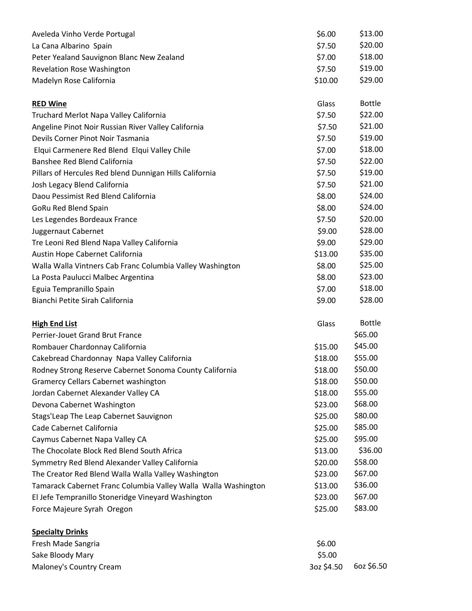| Aveleda Vinho Verde Portugal                                   | \$6.00     | \$13.00       |
|----------------------------------------------------------------|------------|---------------|
| La Cana Albarino Spain                                         | \$7.50     | \$20.00       |
| Peter Yealand Sauvignon Blanc New Zealand                      | \$7.00     | \$18.00       |
| <b>Revelation Rose Washington</b>                              | \$7.50     | \$19.00       |
| Madelyn Rose California                                        | \$10.00    | \$29.00       |
| <b>RED Wine</b>                                                | Glass      | <b>Bottle</b> |
| Truchard Merlot Napa Valley California                         | \$7.50     | \$22.00       |
| Angeline Pinot Noir Russian River Valley California            | \$7.50     | \$21.00       |
| Devils Corner Pinot Noir Tasmania                              | \$7.50     | \$19.00       |
| Elqui Carmenere Red Blend Elqui Valley Chile                   | \$7.00     | \$18.00       |
| Banshee Red Blend California                                   | \$7.50     | \$22.00       |
| Pillars of Hercules Red blend Dunnigan Hills California        | \$7.50     | \$19.00       |
| Josh Legacy Blend California                                   | \$7.50     | \$21.00       |
| Daou Pessimist Red Blend California                            | \$8.00     | \$24.00       |
| <b>GoRu Red Blend Spain</b>                                    | \$8.00     | \$24.00       |
| Les Legendes Bordeaux France                                   | \$7.50     | \$20.00       |
| Juggernaut Cabernet                                            | \$9.00     | \$28.00       |
| Tre Leoni Red Blend Napa Valley California                     | \$9.00     | \$29.00       |
| Austin Hope Cabernet California                                | \$13.00    | \$35.00       |
| Walla Walla Vintners Cab Franc Columbia Valley Washington      | \$8.00     | \$25.00       |
| La Posta Paulucci Malbec Argentina                             | \$8.00     | \$23.00       |
| Eguia Tempranillo Spain                                        | \$7.00     | \$18.00       |
| Bianchi Petite Sirah California                                | \$9.00     | \$28.00       |
| <b>High End List</b>                                           | Glass      | <b>Bottle</b> |
| Perrier-Jouet Grand Brut France                                |            | \$65.00       |
| Rombauer Chardonnay California                                 | \$15.00    | \$45.00       |
| Cakebread Chardonnay Napa Valley California                    | \$18.00    | \$55.00       |
| Rodney Strong Reserve Cabernet Sonoma County California        | \$18.00    | \$50.00       |
| <b>Gramercy Cellars Cabernet washington</b>                    | \$18.00    | \$50.00       |
| Jordan Cabernet Alexander Valley CA                            | \$18.00    | \$55.00       |
| Devona Cabernet Washington                                     | \$23.00    | \$68.00       |
| Stags'Leap The Leap Cabernet Sauvignon                         | \$25.00    | \$80.00       |
| Cade Cabernet California                                       | \$25.00    | \$85.00       |
| Caymus Cabernet Napa Valley CA                                 | \$25.00    | \$95.00       |
| The Chocolate Block Red Blend South Africa                     | \$13.00    | \$36.00       |
| Symmetry Red Blend Alexander Valley California                 | \$20.00    | \$58.00       |
| The Creator Red Blend Walla Walla Valley Washington            | \$23.00    | \$67.00       |
| Tamarack Cabernet Franc Columbia Valley Walla Walla Washington | \$13.00    | \$36.00       |
| El Jefe Tempranillo Stoneridge Vineyard Washington             | \$23.00    | \$67.00       |
| Force Majeure Syrah Oregon                                     | \$25.00    | \$83.00       |
| <b>Specialty Drinks</b>                                        |            |               |
| Fresh Made Sangria                                             | \$6.00     |               |
| Sake Bloody Mary                                               | \$5.00     |               |
| Maloney's Country Cream                                        | 3oz \$4.50 | 6oz \$6.50    |